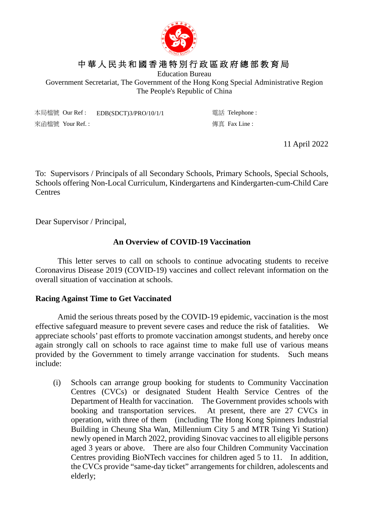

# 中華人民共和國香港特別行政區政府總部教育局

Education Bureau

Government Secretariat, The Government of the Hong Kong Special Administrative Region The People's Republic of China

本局檔號 Our Ref : EDB(SDCT)3/PRO/10/1/1 電話 Telephone : 來函檔號 Your Ref. : 傳真 Fax Line :

11 April 2022

To: Supervisors / Principals of all Secondary Schools, Primary Schools, Special Schools, Schools offering Non-Local Curriculum, Kindergartens and Kindergarten-cum-Child Care **Centres** 

Dear Supervisor / Principal,

### **An Overview of COVID-19 Vaccination**

This letter serves to call on schools to continue advocating students to receive Coronavirus Disease 2019 (COVID-19) vaccines and collect relevant information on the overall situation of vaccination at schools.

#### **Racing Against Time to Get Vaccinated**

Amid the serious threats posed by the COVID-19 epidemic, vaccination is the most effective safeguard measure to prevent severe cases and reduce the risk of fatalities. We appreciate schools' past efforts to promote vaccination amongst students, and hereby once again strongly call on schools to race against time to make full use of various means provided by the Government to timely arrange vaccination for students. Such means include:

(i) Schools can arrange group booking for students to Community Vaccination Centres (CVCs) or designated Student Health Service Centres of the Department of Health for vaccination. The Government provides schools with booking and transportation services. At present, there are 27 CVCs in operation, with three of them (including The Hong Kong Spinners Industrial Building in Cheung Sha Wan, Millennium City 5 and MTR Tsing Yi Station) newly opened in March 2022, providing Sinovac vaccines to all eligible persons aged 3 years or above. There are also four Children Community Vaccination Centres providing BioNTech vaccines for children aged 5 to 11. In addition, the CVCs provide "same-day ticket" arrangements for children, adolescents and elderly;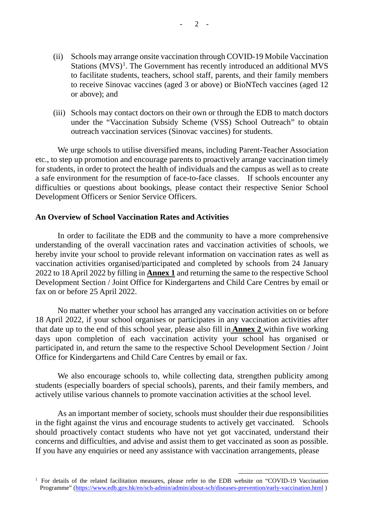- (ii) Schools may arrange onsite vaccination through COVID-19 Mobile Vaccination Stations  $(MVS)^1$  $(MVS)^1$ . The Government has recently introduced an additional MVS to facilitate students, teachers, school staff, parents, and their family members to receive Sinovac vaccines (aged 3 or above) or BioNTech vaccines (aged 12 or above); and
- (iii) Schools may contact doctors on their own or through the EDB to match doctors under the "Vaccination Subsidy Scheme (VSS) School Outreach" to obtain outreach vaccination services (Sinovac vaccines) for students.

We urge schools to utilise diversified means, including Parent-Teacher Association etc., to step up promotion and encourage parents to proactively arrange vaccination timely for students, in order to protect the health of individuals and the campus as well as to create a safe environment for the resumption of face-to-face classes. If schools encounter any difficulties or questions about bookings, please contact their respective Senior School Development Officers or Senior Service Officers.

#### **An Overview of School Vaccination Rates and Activities**

In order to facilitate the EDB and the community to have a more comprehensive understanding of the overall vaccination rates and vaccination activities of schools, we hereby invite your school to provide relevant information on vaccination rates as well as vaccination activities organised/participated and completed by schools from 24 January 2022 to 18 April 2022 by filling in **Annex 1** and returning the same to the respective School Development Section / Joint Office for Kindergartens and Child Care Centres by email or fax on or before 25 April 2022.

No matter whether your school has arranged any vaccination activities on or before 18 April 2022, if your school organises or participates in any vaccination activities after that date up to the end of this school year, please also fill in **Annex 2** within five working days upon completion of each vaccination activity your school has organised or participated in, and return the same to the respective School Development Section / Joint Office for Kindergartens and Child Care Centres by email or fax.

We also encourage schools to, while collecting data, strengthen publicity among students (especially boarders of special schools), parents, and their family members, and actively utilise various channels to promote vaccination activities at the school level.

As an important member of society, schools must shoulder their due responsibilities in the fight against the virus and encourage students to actively get vaccinated. Schools should proactively contact students who have not yet got vaccinated, understand their concerns and difficulties, and advise and assist them to get vaccinated as soon as possible. If you have any enquiries or need any assistance with vaccination arrangements, please

<span id="page-1-0"></span><sup>&</sup>lt;sup>1</sup> For details of the related facilitation measures, please refer to the EDB website on "COVID-19 Vaccination" Programme" [\(https://www.edb.gov.hk/en/sch-admin/admin/about-sch/diseases-prevention/early-vaccination.html](https://www.edb.gov.hk/en/sch-admin/admin/about-sch/diseases-prevention/early-vaccination.html))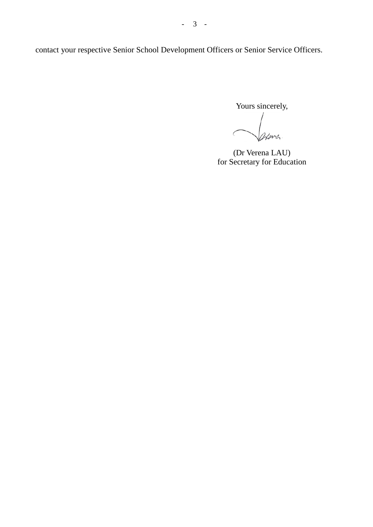contact your respective Senior School Development Officers or Senior Service Officers.

Yours sincerely,

Henry.  $\mathcal{C}_{\mathcal{A}}$ 

(Dr Verena LAU) for Secretary for Education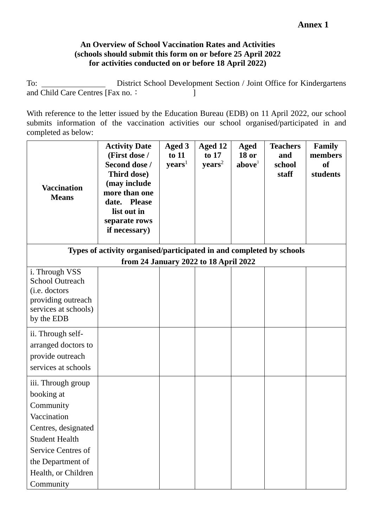## **An Overview of School Vaccination Rates and Activities (schools should submit this form on or before 25 April 2022 for activities conducted on or before 18 April 2022)**

To: District School Development Section / Joint Office for Kindergartens and Child Care Centres [Fax no.: ]

With reference to the letter issued by the Education Bureau (EDB) on 11 April 2022, our school submits information of the vaccination activities our school organised/participated in and completed as below:

| <b>Vaccination</b><br><b>Means</b>                                                                                                                                                          | <b>Activity Date</b><br>(First dose /<br>Second dose /<br>Third dose)<br>(may include<br>more than one<br>date. Please<br>list out in<br>separate rows<br>if necessary) | Aged 3<br>to 11<br>$\mathbf{years}^1$ | Aged 12<br>to 17<br>$\mathbf{years}^2$ | Aged<br><b>18 or</b><br>above <sup>3</sup> | <b>Teachers</b><br>and<br>school<br>staff | <b>Family</b><br>members<br><b>of</b><br>students |
|---------------------------------------------------------------------------------------------------------------------------------------------------------------------------------------------|-------------------------------------------------------------------------------------------------------------------------------------------------------------------------|---------------------------------------|----------------------------------------|--------------------------------------------|-------------------------------------------|---------------------------------------------------|
|                                                                                                                                                                                             | Types of activity organised/participated in and completed by schools                                                                                                    |                                       |                                        |                                            |                                           |                                                   |
|                                                                                                                                                                                             | from 24 January 2022 to 18 April 2022                                                                                                                                   |                                       |                                        |                                            |                                           |                                                   |
| i. Through VSS<br><b>School Outreach</b><br>(i.e. doctors<br>providing outreach<br>services at schools)<br>by the EDB                                                                       |                                                                                                                                                                         |                                       |                                        |                                            |                                           |                                                   |
| ii. Through self-<br>arranged doctors to<br>provide outreach<br>services at schools                                                                                                         |                                                                                                                                                                         |                                       |                                        |                                            |                                           |                                                   |
| iii. Through group<br>booking at<br>Community<br>Vaccination<br>Centres, designated<br><b>Student Health</b><br>Service Centres of<br>the Department of<br>Health, or Children<br>Community |                                                                                                                                                                         |                                       |                                        |                                            |                                           |                                                   |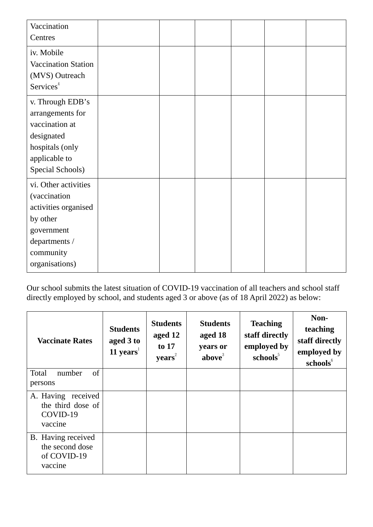| Vaccination<br>Centres                                                                                                                 |  |  |  |
|----------------------------------------------------------------------------------------------------------------------------------------|--|--|--|
| iv. Mobile<br>Vaccination Station<br>(MVS) Outreach<br>Services <sup>4</sup>                                                           |  |  |  |
| v. Through EDB's<br>arrangements for<br>vaccination at<br>designated<br>hospitals (only<br>applicable to<br>Special Schools)           |  |  |  |
| vi. Other activities<br>(vaccination<br>activities organised<br>by other<br>government<br>departments /<br>community<br>organisations) |  |  |  |

Our school submits the latest situation of COVID-19 vaccination of all teachers and school staff directly employed by school, and students aged 3 or above (as of 18 April 2022) as below:

| <b>Vaccinate Rates</b>                                          | <b>Students</b><br>aged 3 to<br>11 years $1$ | <b>Students</b><br>aged 12<br>to 17<br>$\mathbf{years}^2$ | <b>Students</b><br>aged 18<br>years or<br>above <sup>3</sup> | <b>Teaching</b><br>staff directly<br>employed by<br>schools <sup>5</sup> | Non-<br>teaching<br>staff directly<br>employed by<br>schools <sup>6</sup> |
|-----------------------------------------------------------------|----------------------------------------------|-----------------------------------------------------------|--------------------------------------------------------------|--------------------------------------------------------------------------|---------------------------------------------------------------------------|
| of<br>Total<br>number<br>persons                                |                                              |                                                           |                                                              |                                                                          |                                                                           |
| A. Having received<br>the third dose of<br>COVID-19<br>vaccine  |                                              |                                                           |                                                              |                                                                          |                                                                           |
| B. Having received<br>the second dose<br>of COVID-19<br>vaccine |                                              |                                                           |                                                              |                                                                          |                                                                           |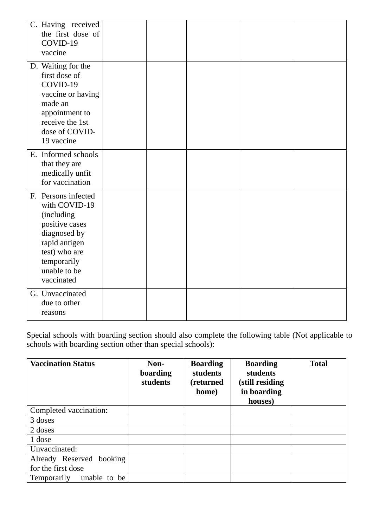| C. Having received<br>the first dose of<br>COVID-19<br>vaccine                                                                                                              |  |  |  |
|-----------------------------------------------------------------------------------------------------------------------------------------------------------------------------|--|--|--|
| D. Waiting for the<br>first dose of<br>COVID-19<br>vaccine or having<br>made an<br>appointment to<br>receive the 1st<br>dose of COVID-<br>19 vaccine                        |  |  |  |
| E. Informed schools<br>that they are<br>medically unfit<br>for vaccination                                                                                                  |  |  |  |
| F. Persons infected<br>with COVID-19<br><i>(including)</i><br>positive cases<br>diagnosed by<br>rapid antigen<br>test) who are<br>temporarily<br>unable to be<br>vaccinated |  |  |  |
| G. Unvaccinated<br>due to other<br>reasons                                                                                                                                  |  |  |  |

Special schools with boarding section should also complete the following table (Not applicable to schools with boarding section other than special schools):

| <b>Vaccination Status</b>   | Non-<br>boarding<br>students | <b>Boarding</b><br>students<br>(returned<br>home) | <b>Boarding</b><br><b>students</b><br>(still residing<br>in boarding<br>houses) | <b>Total</b> |
|-----------------------------|------------------------------|---------------------------------------------------|---------------------------------------------------------------------------------|--------------|
| Completed vaccination:      |                              |                                                   |                                                                                 |              |
| 3 doses                     |                              |                                                   |                                                                                 |              |
| 2 doses                     |                              |                                                   |                                                                                 |              |
| 1 dose                      |                              |                                                   |                                                                                 |              |
| Unvaccinated:               |                              |                                                   |                                                                                 |              |
| Already Reserved booking    |                              |                                                   |                                                                                 |              |
| for the first dose          |                              |                                                   |                                                                                 |              |
| unable to be<br>Temporarily |                              |                                                   |                                                                                 |              |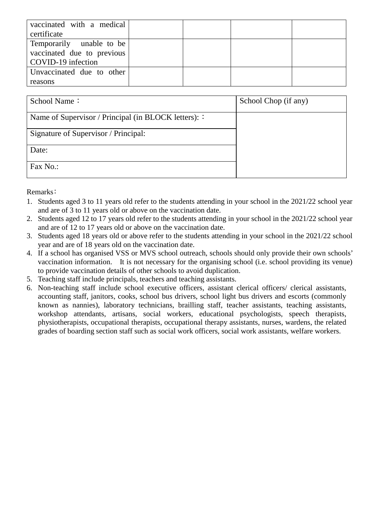| vaccinated with a medical<br>certificate                                     |  |  |
|------------------------------------------------------------------------------|--|--|
| Temporarily unable to be<br>vaccinated due to previous<br>COVID-19 infection |  |  |
| Unvaccinated due to other<br>reasons                                         |  |  |

| School Name:                                         | School Chop (if any) |
|------------------------------------------------------|----------------------|
| Name of Supervisor / Principal (in BLOCK letters): : |                      |
| Signature of Supervisor / Principal:                 |                      |
| Date:                                                |                      |
| Fax No.:                                             |                      |

Remarks﹕

- 1. Students aged 3 to 11 years old refer to the students attending in your school in the 2021/22 school year and are of 3 to 11 years old or above on the vaccination date.
- 2. Students aged 12 to 17 years old refer to the students attending in your school in the 2021/22 school year and are of 12 to 17 years old or above on the vaccination date.
- 3. Students aged 18 years old or above refer to the students attending in your school in the 2021/22 school year and are of 18 years old on the vaccination date.
- 4. If a school has organised VSS or MVS school outreach, schools should only provide their own schools' vaccination information. It is not necessary for the organising school (i.e. school providing its venue) to provide vaccination details of other schools to avoid duplication.
- 5. Teaching staff include principals, teachers and teaching assistants.
- 6. Non-teaching staff include school executive officers, assistant clerical officers/ clerical assistants, accounting staff, janitors, cooks, school bus drivers, school light bus drivers and escorts (commonly known as nannies), laboratory technicians, brailling staff, teacher assistants, teaching assistants, workshop attendants, artisans, social workers, educational psychologists, speech therapists, physiotherapists, occupational therapists, occupational therapy assistants, nurses, wardens, the related grades of boarding section staff such as social work officers, social work assistants, welfare workers.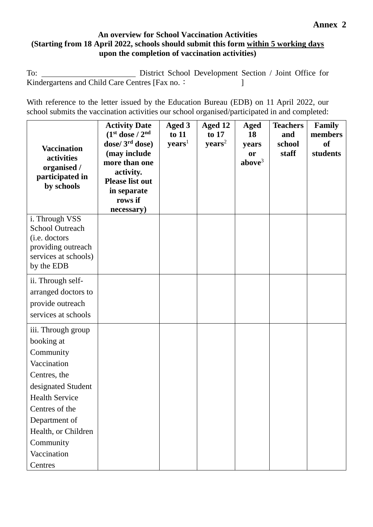# **An overview for School Vaccination Activities (Starting from 18 April 2022, schools should submit this form within 5 working days upon the completion of vaccination activities)**

To: District School Development Section / Joint Office for Kindergartens and Child Care Centres [Fax no.: ]

With reference to the letter issued by the Education Bureau (EDB) on 11 April 2022, our school submits the vaccination activities our school organised/participated in and completed:

| <b>Vaccination</b><br>activities<br>organised /<br>participated in<br>by schools | <b>Activity Date</b><br>$(1st dose / 2nd)$<br>dose/ $3rd$ dose)<br>(may include<br>more than one<br>activity.<br><b>Please list out</b><br>in separate<br>rows if<br>necessary) | Aged 3<br>to 11<br>$\mathbf{years}^1$ | Aged 12<br>to 17<br>$\mathbf{years}^2$ | <b>Aged</b><br>18<br>years<br>or<br>above <sup>3</sup> | <b>Teachers</b><br>and<br>school<br>staff | <b>Family</b><br>members<br><b>of</b><br>students |
|----------------------------------------------------------------------------------|---------------------------------------------------------------------------------------------------------------------------------------------------------------------------------|---------------------------------------|----------------------------------------|--------------------------------------------------------|-------------------------------------------|---------------------------------------------------|
| i. Through VSS<br><b>School Outreach</b>                                         |                                                                                                                                                                                 |                                       |                                        |                                                        |                                           |                                                   |
| (i.e. doctors                                                                    |                                                                                                                                                                                 |                                       |                                        |                                                        |                                           |                                                   |
| providing outreach<br>services at schools)                                       |                                                                                                                                                                                 |                                       |                                        |                                                        |                                           |                                                   |
| by the EDB                                                                       |                                                                                                                                                                                 |                                       |                                        |                                                        |                                           |                                                   |
| ii. Through self-                                                                |                                                                                                                                                                                 |                                       |                                        |                                                        |                                           |                                                   |
| arranged doctors to                                                              |                                                                                                                                                                                 |                                       |                                        |                                                        |                                           |                                                   |
| provide outreach                                                                 |                                                                                                                                                                                 |                                       |                                        |                                                        |                                           |                                                   |
| services at schools                                                              |                                                                                                                                                                                 |                                       |                                        |                                                        |                                           |                                                   |
| iii. Through group                                                               |                                                                                                                                                                                 |                                       |                                        |                                                        |                                           |                                                   |
| booking at                                                                       |                                                                                                                                                                                 |                                       |                                        |                                                        |                                           |                                                   |
| Community                                                                        |                                                                                                                                                                                 |                                       |                                        |                                                        |                                           |                                                   |
| Vaccination                                                                      |                                                                                                                                                                                 |                                       |                                        |                                                        |                                           |                                                   |
| Centres, the<br>designated Student                                               |                                                                                                                                                                                 |                                       |                                        |                                                        |                                           |                                                   |
| <b>Health Service</b>                                                            |                                                                                                                                                                                 |                                       |                                        |                                                        |                                           |                                                   |
| Centres of the                                                                   |                                                                                                                                                                                 |                                       |                                        |                                                        |                                           |                                                   |
| Department of                                                                    |                                                                                                                                                                                 |                                       |                                        |                                                        |                                           |                                                   |
| Health, or Children                                                              |                                                                                                                                                                                 |                                       |                                        |                                                        |                                           |                                                   |
| Community                                                                        |                                                                                                                                                                                 |                                       |                                        |                                                        |                                           |                                                   |
| Vaccination                                                                      |                                                                                                                                                                                 |                                       |                                        |                                                        |                                           |                                                   |
| Centres                                                                          |                                                                                                                                                                                 |                                       |                                        |                                                        |                                           |                                                   |